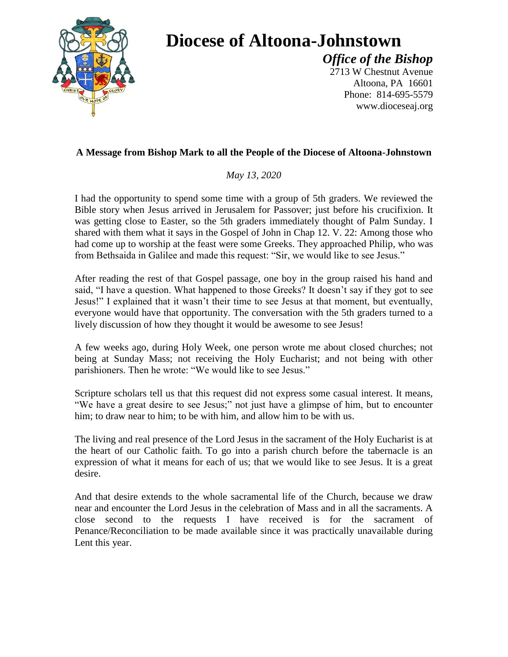

## **Diocese of Altoona-Johnstown**

*Office of the Bishop* 2713 W Chestnut Avenue Altoona, PA 16601 Phone: 814-695-5579 www.dioceseaj.org

## **A Message from Bishop Mark to all the People of the Diocese of Altoona-Johnstown**

*May 13, 2020*

I had the opportunity to spend some time with a group of 5th graders. We reviewed the Bible story when Jesus arrived in Jerusalem for Passover; just before his crucifixion. It was getting close to Easter, so the 5th graders immediately thought of Palm Sunday. I shared with them what it says in the Gospel of John in Chap 12. V. 22: Among those who had come up to worship at the feast were some Greeks. They approached Philip, who was from Bethsaida in Galilee and made this request: "Sir, we would like to see Jesus."

After reading the rest of that Gospel passage, one boy in the group raised his hand and said, "I have a question. What happened to those Greeks? It doesn't say if they got to see Jesus!" I explained that it wasn't their time to see Jesus at that moment, but eventually, everyone would have that opportunity. The conversation with the 5th graders turned to a lively discussion of how they thought it would be awesome to see Jesus!

A few weeks ago, during Holy Week, one person wrote me about closed churches; not being at Sunday Mass; not receiving the Holy Eucharist; and not being with other parishioners. Then he wrote: "We would like to see Jesus."

Scripture scholars tell us that this request did not express some casual interest. It means, "We have a great desire to see Jesus;" not just have a glimpse of him, but to encounter him; to draw near to him; to be with him, and allow him to be with us.

The living and real presence of the Lord Jesus in the sacrament of the Holy Eucharist is at the heart of our Catholic faith. To go into a parish church before the tabernacle is an expression of what it means for each of us; that we would like to see Jesus. It is a great desire.

And that desire extends to the whole sacramental life of the Church, because we draw near and encounter the Lord Jesus in the celebration of Mass and in all the sacraments. A close second to the requests I have received is for the sacrament of Penance/Reconciliation to be made available since it was practically unavailable during Lent this year.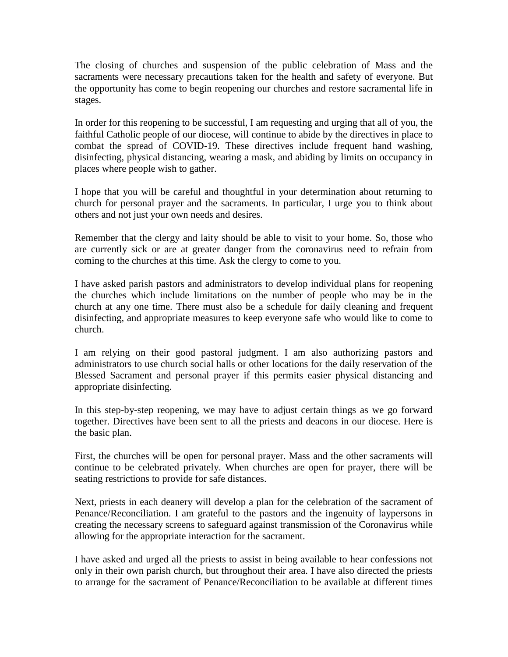The closing of churches and suspension of the public celebration of Mass and the sacraments were necessary precautions taken for the health and safety of everyone. But the opportunity has come to begin reopening our churches and restore sacramental life in stages.

In order for this reopening to be successful, I am requesting and urging that all of you, the faithful Catholic people of our diocese, will continue to abide by the directives in place to combat the spread of COVID-19. These directives include frequent hand washing, disinfecting, physical distancing, wearing a mask, and abiding by limits on occupancy in places where people wish to gather.

I hope that you will be careful and thoughtful in your determination about returning to church for personal prayer and the sacraments. In particular, I urge you to think about others and not just your own needs and desires.

Remember that the clergy and laity should be able to visit to your home. So, those who are currently sick or are at greater danger from the coronavirus need to refrain from coming to the churches at this time. Ask the clergy to come to you.

I have asked parish pastors and administrators to develop individual plans for reopening the churches which include limitations on the number of people who may be in the church at any one time. There must also be a schedule for daily cleaning and frequent disinfecting, and appropriate measures to keep everyone safe who would like to come to church.

I am relying on their good pastoral judgment. I am also authorizing pastors and administrators to use church social halls or other locations for the daily reservation of the Blessed Sacrament and personal prayer if this permits easier physical distancing and appropriate disinfecting.

In this step-by-step reopening, we may have to adjust certain things as we go forward together. Directives have been sent to all the priests and deacons in our diocese. Here is the basic plan.

First, the churches will be open for personal prayer. Mass and the other sacraments will continue to be celebrated privately. When churches are open for prayer, there will be seating restrictions to provide for safe distances.

Next, priests in each deanery will develop a plan for the celebration of the sacrament of Penance/Reconciliation. I am grateful to the pastors and the ingenuity of laypersons in creating the necessary screens to safeguard against transmission of the Coronavirus while allowing for the appropriate interaction for the sacrament.

I have asked and urged all the priests to assist in being available to hear confessions not only in their own parish church, but throughout their area. I have also directed the priests to arrange for the sacrament of Penance/Reconciliation to be available at different times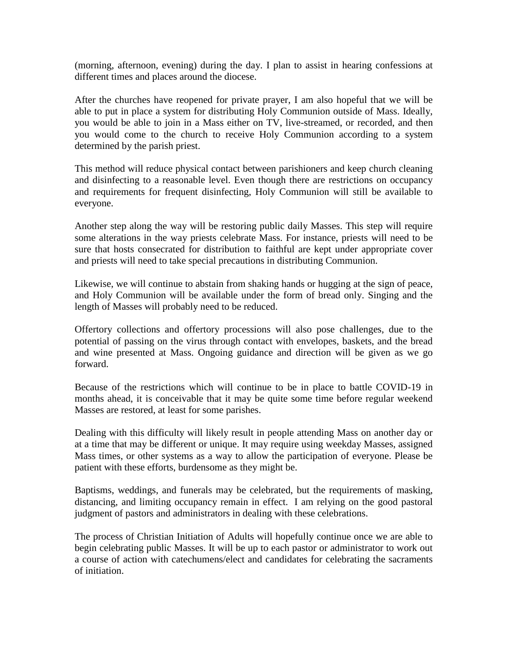(morning, afternoon, evening) during the day. I plan to assist in hearing confessions at different times and places around the diocese.

After the churches have reopened for private prayer, I am also hopeful that we will be able to put in place a system for distributing Holy Communion outside of Mass. Ideally, you would be able to join in a Mass either on TV, live-streamed, or recorded, and then you would come to the church to receive Holy Communion according to a system determined by the parish priest.

This method will reduce physical contact between parishioners and keep church cleaning and disinfecting to a reasonable level. Even though there are restrictions on occupancy and requirements for frequent disinfecting, Holy Communion will still be available to everyone.

Another step along the way will be restoring public daily Masses. This step will require some alterations in the way priests celebrate Mass. For instance, priests will need to be sure that hosts consecrated for distribution to faithful are kept under appropriate cover and priests will need to take special precautions in distributing Communion.

Likewise, we will continue to abstain from shaking hands or hugging at the sign of peace, and Holy Communion will be available under the form of bread only. Singing and the length of Masses will probably need to be reduced.

Offertory collections and offertory processions will also pose challenges, due to the potential of passing on the virus through contact with envelopes, baskets, and the bread and wine presented at Mass. Ongoing guidance and direction will be given as we go forward.

Because of the restrictions which will continue to be in place to battle COVID-19 in months ahead, it is conceivable that it may be quite some time before regular weekend Masses are restored, at least for some parishes.

Dealing with this difficulty will likely result in people attending Mass on another day or at a time that may be different or unique. It may require using weekday Masses, assigned Mass times, or other systems as a way to allow the participation of everyone. Please be patient with these efforts, burdensome as they might be.

Baptisms, weddings, and funerals may be celebrated, but the requirements of masking, distancing, and limiting occupancy remain in effect. I am relying on the good pastoral judgment of pastors and administrators in dealing with these celebrations.

The process of Christian Initiation of Adults will hopefully continue once we are able to begin celebrating public Masses. It will be up to each pastor or administrator to work out a course of action with catechumens/elect and candidates for celebrating the sacraments of initiation.